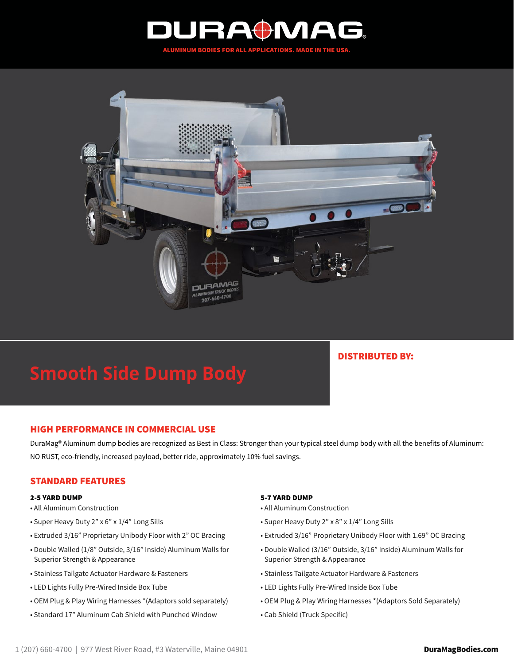



# **Smooth Side Dump Body**

## DISTRIBUTED BY:

## HIGH PERFORMANCE IN COMMERCIAL USE

DuraMag® Aluminum dump bodies are recognized as Best in Class: Stronger than your typical steel dump body with all the benefits of Aluminum: NO RUST, eco-friendly, increased payload, better ride, approximately 10% fuel savings.

## STANDARD FEATURES

#### 2-5 YARD DUMP

- All Aluminum Construction
- Super Heavy Duty 2" x 6" x 1/4" Long Sills
- Extruded 3/16" Proprietary Unibody Floor with 2" OC Bracing
- Double Walled (1/8" Outside, 3/16" Inside) Aluminum Walls for Superior Strength & Appearance
- Stainless Tailgate Actuator Hardware & Fasteners
- LED Lights Fully Pre-Wired Inside Box Tube
- OEM Plug & Play Wiring Harnesses \*(Adaptors sold separately)
- Standard 17" Aluminum Cab Shield with Punched Window

#### 5-7 YARD DUMP

- All Aluminum Construction
- Super Heavy Duty 2" x 8" x 1/4" Long Sills
- Extruded 3/16" Proprietary Unibody Floor with 1.69" OC Bracing
- Double Walled (3/16" Outside, 3/16" Inside) Aluminum Walls for Superior Strength & Appearance
- Stainless Tailgate Actuator Hardware & Fasteners
- LED Lights Fully Pre-Wired Inside Box Tube
- OEM Plug & Play Wiring Harnesses \*(Adaptors Sold Separately)
- Cab Shield (Truck Specific)